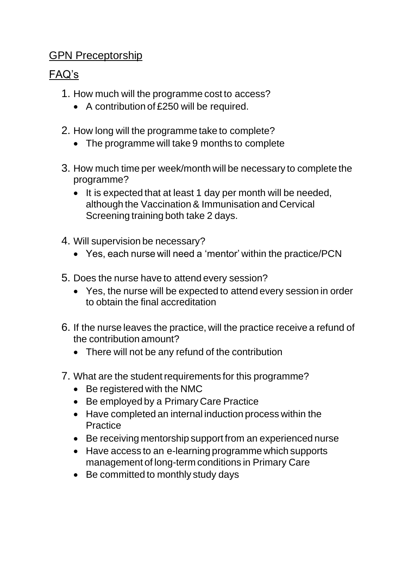## GPN Preceptorship

## FAQ's

- 1. How much will the programme cost to access?
	- A contribution of £250 will be required.
- 2. How long will the programme take to complete?
	- The programme will take 9 months to complete
- 3. How much time per week/month will be necessary to complete the programme?
	- It is expected that at least 1 day per month will be needed, although the Vaccination & Immunisation and Cervical Screening training both take 2 days.
- 4. Will supervision be necessary?
	- Yes, each nurse will need a 'mentor' within the practice/PCN
- 5. Does the nurse have to attend every session?
	- Yes, the nurse will be expected to attend every session in order to obtain the final accreditation
- 6. If the nurse leaves the practice, will the practice receive a refund of the contribution amount?
	- There will not be any refund of the contribution
- 7. What are the student requirements for this programme?
	- Be registered with the NMC
	- Be employed by a Primary Care Practice
	- Have completed an internal induction process within the **Practice**
	- Be receiving mentorship support from an experienced nurse
	- Have access to an e-learning programme which supports management of long-term conditions in Primary Care
	- Be committed to monthly study days